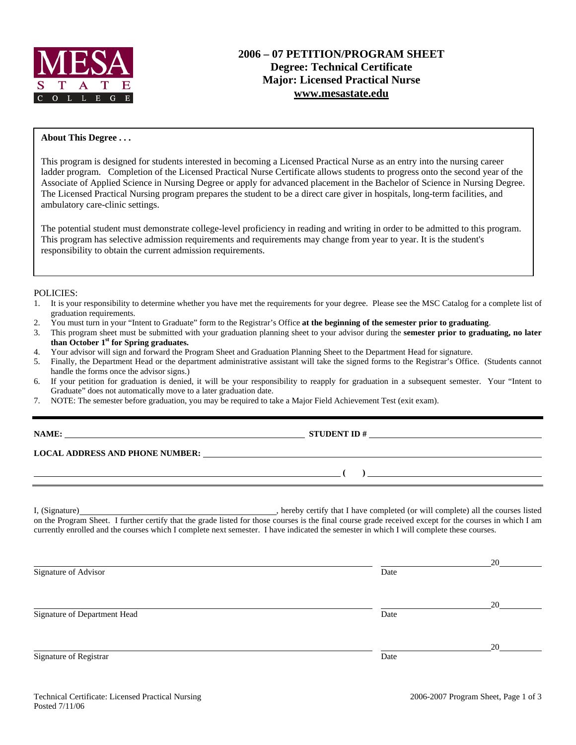

#### **About This Degree . . .**

This program is designed for students interested in becoming a Licensed Practical Nurse as an entry into the nursing career ladder program. Completion of the Licensed Practical Nurse Certificate allows students to progress onto the second year of the Associate of Applied Science in Nursing Degree or apply for advanced placement in the Bachelor of Science in Nursing Degree. The Licensed Practical Nursing program prepares the student to be a direct care giver in hospitals, long-term facilities, and ambulatory care-clinic settings.

The potential student must demonstrate college-level proficiency in reading and writing in order to be admitted to this program. This program has selective admission requirements and requirements may change from year to year. It is the student's responsibility to obtain the current admission requirements.

#### POLICIES:

- 1. It is your responsibility to determine whether you have met the requirements for your degree. Please see the MSC Catalog for a complete list of graduation requirements.
- 2. You must turn in your "Intent to Graduate" form to the Registrar's Office **at the beginning of the semester prior to graduating**.
- 3. This program sheet must be submitted with your graduation planning sheet to your advisor during the **semester prior to graduating, no later than October 1st for Spring graduates.**
- 4. Your advisor will sign and forward the Program Sheet and Graduation Planning Sheet to the Department Head for signature.
- 5. Finally, the Department Head or the department administrative assistant will take the signed forms to the Registrar's Office. (Students cannot handle the forms once the advisor signs.)
- 6. If your petition for graduation is denied, it will be your responsibility to reapply for graduation in a subsequent semester. Your "Intent to Graduate" does not automatically move to a later graduation date.
- 7. NOTE: The semester before graduation, you may be required to take a Major Field Achievement Test (exit exam).

| <b>NAME:</b> |  |
|--------------|--|
|              |  |
|              |  |
|              |  |

**NAME: STUDENT ID #** 

 **( )** 

**LOCAL ADDRESS AND PHONE NUMBER:**

I, (Signature) , hereby certify that I have completed (or will complete) all the courses listed on the Program Sheet. I further certify that the grade listed for those courses is the final course grade received except for the courses in which I am currently enrolled and the courses which I complete next semester. I have indicated the semester in which I will complete these courses.

|                              |      | 20 |
|------------------------------|------|----|
| Signature of Advisor         | Date |    |
|                              |      |    |
|                              |      | 20 |
| Signature of Department Head | Date |    |
|                              |      | 20 |
| Signature of Registrar       | Date |    |
|                              |      |    |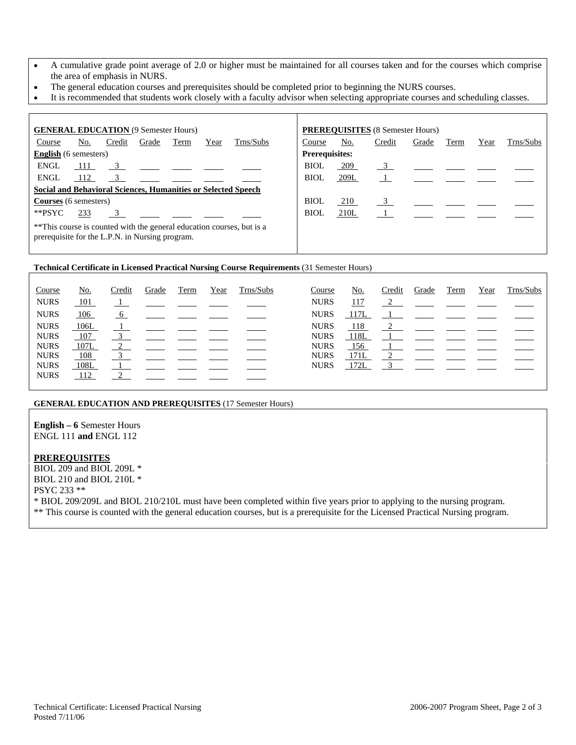- A cumulative grade point average of 2.0 or higher must be maintained for all courses taken and for the courses which comprise the area of emphasis in NURS.
- The general education courses and prerequisites should be completed prior to beginning the NURS courses.
- It is recommended that students work closely with a faculty advisor when selecting appropriate courses and scheduling classes.

| <b>GENERAL EDUCATION (9 Semester Hours)</b>                                                                              |                                                               |        |       |      |      |           |             |                       | <b>PREREQUISITES</b> (8 Semester Hours) |       |      |      |           |
|--------------------------------------------------------------------------------------------------------------------------|---------------------------------------------------------------|--------|-------|------|------|-----------|-------------|-----------------------|-----------------------------------------|-------|------|------|-----------|
| Course                                                                                                                   | No.                                                           | Credit | Grade | Term | Year | Trns/Subs | Course      | <u>No.</u>            | Credit                                  | Grade | Term | Year | Trns/Subs |
| <b>English</b> (6 semesters)                                                                                             |                                                               |        |       |      |      |           |             | <b>Prerequisites:</b> |                                         |       |      |      |           |
| ENGL                                                                                                                     | 111                                                           |        |       |      |      |           | <b>BIOL</b> | 209                   |                                         |       |      |      |           |
| <b>ENGL</b>                                                                                                              | 112                                                           | 3      |       |      |      |           | <b>BIOL</b> | 209L                  |                                         |       |      |      |           |
|                                                                                                                          | Social and Behavioral Sciences, Humanities or Selected Speech |        |       |      |      |           |             |                       |                                         |       |      |      |           |
| <b>Courses</b> (6 semesters)                                                                                             |                                                               |        |       |      |      |           | BIOL        | 210                   |                                         |       |      |      |           |
| **PSYC                                                                                                                   | 233                                                           |        |       |      |      |           | BIOL        | 210L                  |                                         |       |      |      |           |
| **This course is counted with the general education courses, but is a<br>prerequisite for the L.P.N. in Nursing program. |                                                               |        |       |      |      |           |             |                       |                                         |       |      |      |           |

#### **Technical Certificate in Licensed Practical Nursing Course Requirements** (31 Semester Hours)

| Course      | <u>No.</u> | Credit        | Grade                                                                  | Term | Year | Trns/Subs | Course      | <u>No.</u>  | Credit     | Grade                                                                                                      | Term | Year | Trns/Subs |
|-------------|------------|---------------|------------------------------------------------------------------------|------|------|-----------|-------------|-------------|------------|------------------------------------------------------------------------------------------------------------|------|------|-----------|
| <b>NURS</b> | 101        |               | $\frac{1}{\sqrt{2}}$ and $\frac{1}{\sqrt{2}}$ and $\frac{1}{\sqrt{2}}$ |      |      |           | <b>NURS</b> | <u>117</u>  |            | $\overline{2}$                                                                                             |      |      |           |
| <b>NURS</b> | <u>106</u> | 6             |                                                                        |      |      |           | <b>NURS</b> | <u>117L</u> |            |                                                                                                            |      |      |           |
| <b>NURS</b> | 106L       |               |                                                                        |      |      |           | <b>NURS</b> | 118         |            | $\frac{2}{\sqrt{2}}$ and $\frac{2}{\sqrt{2}}$ and $\frac{2}{\sqrt{2}}$                                     |      |      |           |
| <b>NURS</b> | 107        | 3             |                                                                        |      |      |           | <b>NURS</b> | 118L        |            |                                                                                                            |      |      |           |
| <b>NURS</b> | 107L       | $\mathcal{L}$ |                                                                        |      |      |           | <b>NURS</b> | 156         |            | $\frac{1}{\sqrt{1-\frac{1}{2}}}$ and $\frac{1}{\sqrt{1-\frac{1}{2}}}$ and $\frac{1}{\sqrt{1-\frac{1}{2}}}$ |      |      |           |
| <b>NURS</b> | <u>108</u> |               |                                                                        |      |      |           | <b>NURS</b> | 171L        | $\bigcirc$ |                                                                                                            |      |      |           |
| <b>NURS</b> | 108L       |               |                                                                        |      |      |           | <b>NURS</b> | 172L        |            | $3 \left( \frac{1}{2} \right)$                                                                             |      |      |           |
| <b>NURS</b> | <u>112</u> |               |                                                                        |      |      |           |             |             |            |                                                                                                            |      |      |           |

## **GENERAL EDUCATION AND PREREQUISITES** (17 Semester Hours)

**English – 6** Semester Hours ENGL 111 **and** ENGL 112

### **PREREQUISITES**

BIOL 209 and BIOL 209L \* BIOL 210 and BIOL 210L \* PSYC 233 \*\* \* BIOL 209/209L and BIOL 210/210L must have been completed within five years prior to applying to the nursing program. \*\* This course is counted with the general education courses, but is a prerequisite for the Licensed Practical Nursing program.